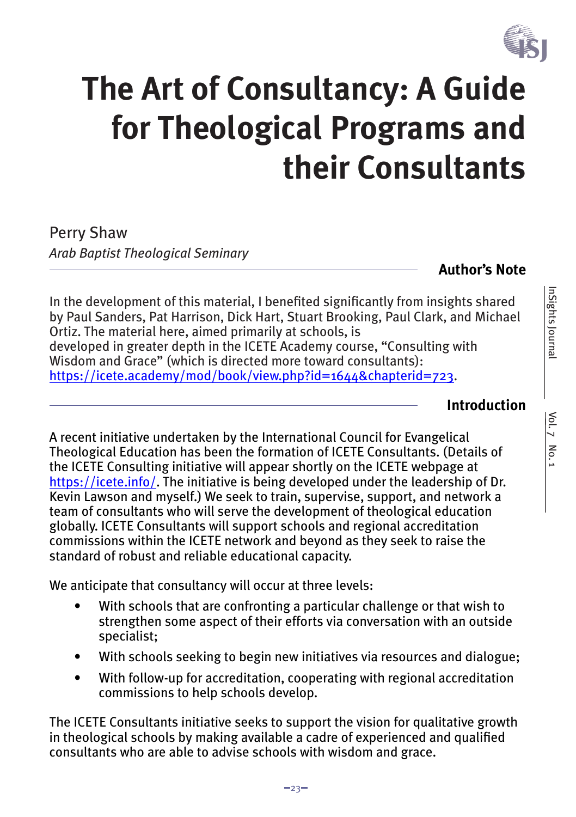

# **The Art of Consultancy: A Guide for Theological Programs and their Consultants**

Perry Shaw *Arab Baptist Theological Seminary*

**Author's Note**

In the development of this material, I benefited significantly from insights shared by Paul Sanders, Pat Harrison, Dick Hart, Stuart Brooking, Paul Clark, and Michael Ortiz. The material here, aimed primarily at schools, is developed in greater depth in the ICETE Academy course, "Consulting with Wisdom and Grace" (which is directed more toward consultants): https://icete.academy/mod/book/view.php?id=1644&chapterid=723.

## **Introduction**

Vol. 7 No. 1 InSights Journal

 $\frac{Vol.7}{Vol.7}$  No. 1

InSights Journal

A recent initiative undertaken by the International Council for Evangelical Theological Education has been the formation of ICETE Consultants. (Details of the ICETE Consulting initiative will appear shortly on the ICETE webpage at https://icete.info/. The initiative is being developed under the leadership of Dr. Kevin Lawson and myself.) We seek to train, supervise, support, and network a team of consultants who will serve the development of theological education globally. ICETE Consultants will support schools and regional accreditation commissions within the ICETE network and beyond as they seek to raise the standard of robust and reliable educational capacity.

We anticipate that consultancy will occur at three levels:

- With schools that are confronting a particular challenge or that wish to strengthen some aspect of their efforts via conversation with an outside specialist;
- With schools seeking to begin new initiatives via resources and dialogue;
- With follow-up for accreditation, cooperating with regional accreditation commissions to help schools develop.

The ICETE Consultants initiative seeks to support the vision for qualitative growth in theological schools by making available a cadre of experienced and qualified consultants who are able to advise schools with wisdom and grace.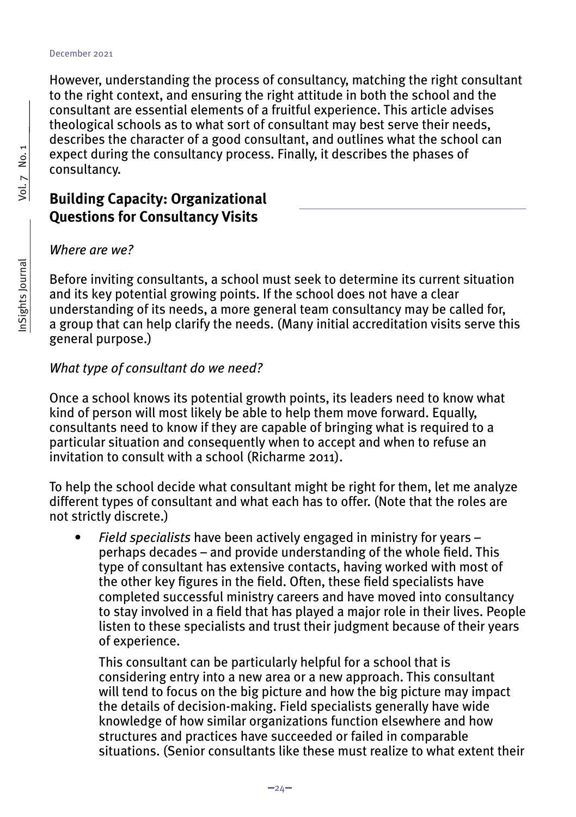#### December 2021

However, understanding the process of consultancy, matching the right consultant to the right context, and ensuring the right attitude in both the school and the consultant are essential elements of a fruitful experience. This article advises theological schools as to what sort of consultant may best serve their needs, describes the character of a good consultant, and outlines what the school can expect during the consultancy process. Finally, it describes the phases of consultancy.

#### **Building Capacity: Organizational Questions for Consultancy Visits**

*Where are we?*

Before inviting consultants, a school must seek to determine its current situation and its key potential growing points. If the school does not have a clear understanding of its needs, a more general team consultancy may be called for, a group that can help clarify the needs. (Many initial accreditation visits serve this general purpose.)

#### *What type of consultant do we need?*

Once a school knows its potential growth points, its leaders need to know what kind of person will most likely be able to help them move forward. Equally, consultants need to know if they are capable of bringing what is required to a particular situation and consequently when to accept and when to refuse an invitation to consult with a school (Richarme 2011).

To help the school decide what consultant might be right for them, let me analyze different types of consultant and what each has to offer. (Note that the roles are not strictly discrete.)

*• Field specialists* have been actively engaged in ministry for years – perhaps decades – and provide understanding of the whole field. This type of consultant has extensive contacts, having worked with most of the other key figures in the field. Often, these field specialists have completed successful ministry careers and have moved into consultancy to stay involved in a field that has played a major role in their lives. People listen to these specialists and trust their judgment because of their years of experience.

This consultant can be particularly helpful for a school that is considering entry into a new area or a new approach. This consultant will tend to focus on the big picture and how the big picture may impact the details of decision-making. Field specialists generally have wide knowledge of how similar organizations function elsewhere and how structures and practices have succeeded or failed in comparable situations. (Senior consultants like these must realize to what extent their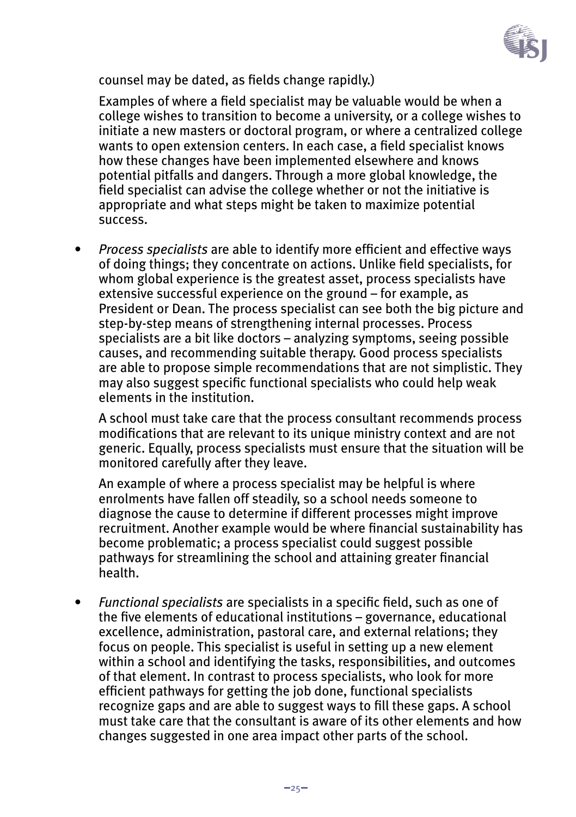

counsel may be dated, as fields change rapidly.)

Examples of where a field specialist may be valuable would be when a college wishes to transition to become a university, or a college wishes to initiate a new masters or doctoral program, or where a centralized college wants to open extension centers. In each case, a field specialist knows how these changes have been implemented elsewhere and knows potential pitfalls and dangers. Through a more global knowledge, the field specialist can advise the college whether or not the initiative is appropriate and what steps might be taken to maximize potential success.

*• Process specialists* are able to identify more efficient and effective ways of doing things; they concentrate on actions. Unlike field specialists, for whom global experience is the greatest asset, process specialists have extensive successful experience on the ground – for example, as President or Dean. The process specialist can see both the big picture and step-by-step means of strengthening internal processes. Process specialists are a bit like doctors – analyzing symptoms, seeing possible causes, and recommending suitable therapy. Good process specialists are able to propose simple recommendations that are not simplistic. They may also suggest specific functional specialists who could help weak elements in the institution.

A school must take care that the process consultant recommends process modifications that are relevant to its unique ministry context and are not generic. Equally, process specialists must ensure that the situation will be monitored carefully after they leave.

An example of where a process specialist may be helpful is where enrolments have fallen off steadily, so a school needs someone to diagnose the cause to determine if different processes might improve recruitment. Another example would be where financial sustainability has become problematic; a process specialist could suggest possible pathways for streamlining the school and attaining greater financial health.

*• Functional specialists* are specialists in a specific field, such as one of the five elements of educational institutions – governance, educational excellence, administration, pastoral care, and external relations; they focus on people. This specialist is useful in setting up a new element within a school and identifying the tasks, responsibilities, and outcomes of that element. In contrast to process specialists, who look for more efficient pathways for getting the job done, functional specialists recognize gaps and are able to suggest ways to fill these gaps. A school must take care that the consultant is aware of its other elements and how changes suggested in one area impact other parts of the school.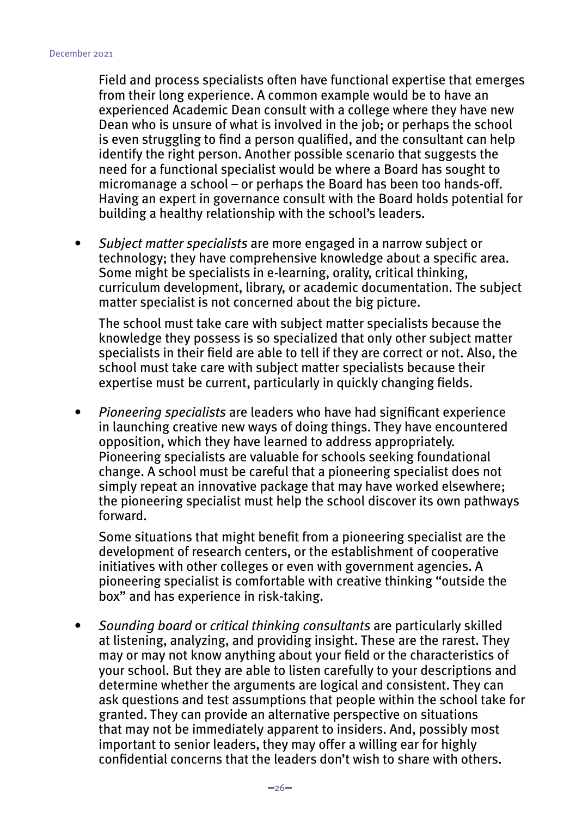Field and process specialists often have functional expertise that emerges from their long experience. A common example would be to have an experienced Academic Dean consult with a college where they have new Dean who is unsure of what is involved in the job; or perhaps the school is even struggling to find a person qualified, and the consultant can help identify the right person. Another possible scenario that suggests the need for a functional specialist would be where a Board has sought to micromanage a school – or perhaps the Board has been too hands-off. Having an expert in governance consult with the Board holds potential for building a healthy relationship with the school's leaders.

*• Subject matter specialists* are more engaged in a narrow subject or technology; they have comprehensive knowledge about a specific area. Some might be specialists in e-learning, orality, critical thinking, curriculum development, library, or academic documentation. The subject matter specialist is not concerned about the big picture.

The school must take care with subject matter specialists because the knowledge they possess is so specialized that only other subject matter specialists in their field are able to tell if they are correct or not. Also, the school must take care with subject matter specialists because their expertise must be current, particularly in quickly changing fields.

*• Pioneering specialists* are leaders who have had significant experience in launching creative new ways of doing things. They have encountered opposition, which they have learned to address appropriately. Pioneering specialists are valuable for schools seeking foundational change. A school must be careful that a pioneering specialist does not simply repeat an innovative package that may have worked elsewhere; the pioneering specialist must help the school discover its own pathways forward.

Some situations that might benefit from a pioneering specialist are the development of research centers, or the establishment of cooperative initiatives with other colleges or even with government agencies. A pioneering specialist is comfortable with creative thinking "outside the box" and has experience in risk-taking.

*• Sounding board* or *critical thinking consultants* are particularly skilled at listening, analyzing, and providing insight. These are the rarest. They may or may not know anything about your field or the characteristics of your school. But they are able to listen carefully to your descriptions and determine whether the arguments are logical and consistent. They can ask questions and test assumptions that people within the school take for granted. They can provide an alternative perspective on situations that may not be immediately apparent to insiders. And, possibly most important to senior leaders, they may offer a willing ear for highly confidential concerns that the leaders don't wish to share with others.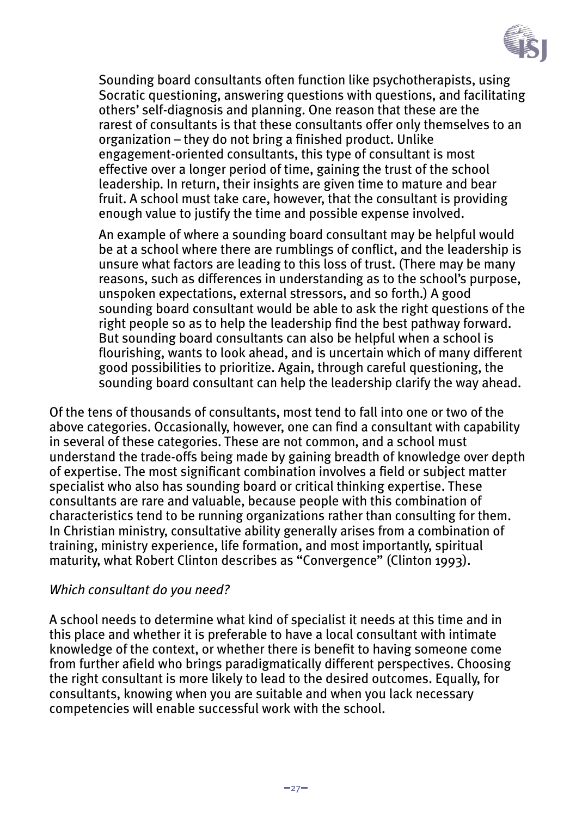

Sounding board consultants often function like psychotherapists, using Socratic questioning, answering questions with questions, and facilitating others' self-diagnosis and planning. One reason that these are the rarest of consultants is that these consultants offer only themselves to an organization – they do not bring a finished product. Unlike engagement-oriented consultants, this type of consultant is most effective over a longer period of time, gaining the trust of the school leadership. In return, their insights are given time to mature and bear fruit. A school must take care, however, that the consultant is providing enough value to justify the time and possible expense involved.

An example of where a sounding board consultant may be helpful would be at a school where there are rumblings of conflict, and the leadership is unsure what factors are leading to this loss of trust. (There may be many reasons, such as differences in understanding as to the school's purpose, unspoken expectations, external stressors, and so forth.) A good sounding board consultant would be able to ask the right questions of the right people so as to help the leadership find the best pathway forward. But sounding board consultants can also be helpful when a school is flourishing, wants to look ahead, and is uncertain which of many different good possibilities to prioritize. Again, through careful questioning, the sounding board consultant can help the leadership clarify the way ahead.

Of the tens of thousands of consultants, most tend to fall into one or two of the above categories. Occasionally, however, one can find a consultant with capability in several of these categories. These are not common, and a school must understand the trade-offs being made by gaining breadth of knowledge over depth of expertise. The most significant combination involves a field or subject matter specialist who also has sounding board or critical thinking expertise. These consultants are rare and valuable, because people with this combination of characteristics tend to be running organizations rather than consulting for them. In Christian ministry, consultative ability generally arises from a combination of training, ministry experience, life formation, and most importantly, spiritual maturity, what Robert Clinton describes as "Convergence" (Clinton 1993).

#### *Which consultant do you need?*

A school needs to determine what kind of specialist it needs at this time and in this place and whether it is preferable to have a local consultant with intimate knowledge of the context, or whether there is benefit to having someone come from further afield who brings paradigmatically different perspectives. Choosing the right consultant is more likely to lead to the desired outcomes. Equally, for consultants, knowing when you are suitable and when you lack necessary competencies will enable successful work with the school.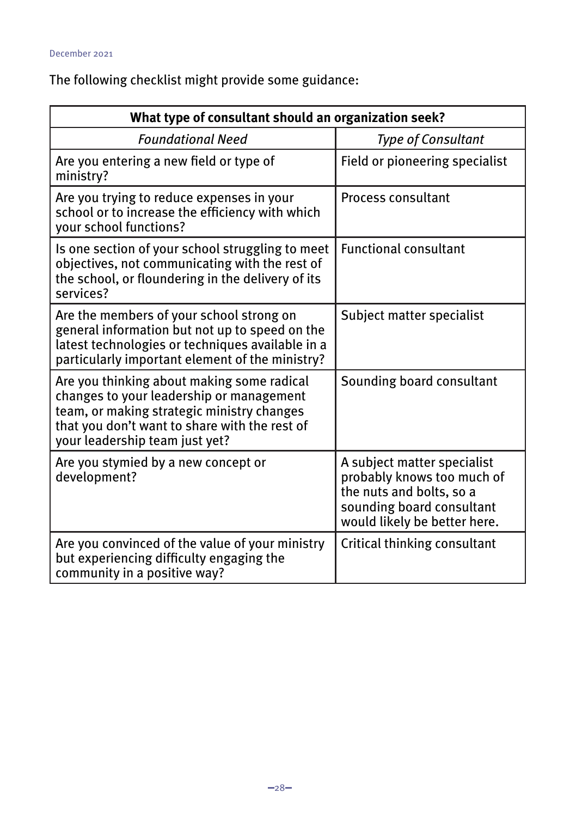The following checklist might provide some guidance:

| What type of consultant should an organization seek?                                                                                                                                                                    |                                                                                                                                                    |
|-------------------------------------------------------------------------------------------------------------------------------------------------------------------------------------------------------------------------|----------------------------------------------------------------------------------------------------------------------------------------------------|
| <b>Foundational Need</b>                                                                                                                                                                                                | <b>Type of Consultant</b>                                                                                                                          |
| Are you entering a new field or type of<br>ministry?                                                                                                                                                                    | Field or pioneering specialist                                                                                                                     |
| Are you trying to reduce expenses in your<br>school or to increase the efficiency with which<br>your school functions?                                                                                                  | <b>Process consultant</b>                                                                                                                          |
| Is one section of your school struggling to meet<br>objectives, not communicating with the rest of<br>the school, or floundering in the delivery of its<br>services?                                                    | <b>Functional consultant</b>                                                                                                                       |
| Are the members of your school strong on<br>general information but not up to speed on the<br>latest technologies or techniques available in a<br>particularly important element of the ministry?                       | Subject matter specialist                                                                                                                          |
| Are you thinking about making some radical<br>changes to your leadership or management<br>team, or making strategic ministry changes<br>that you don't want to share with the rest of<br>your leadership team just yet? | Sounding board consultant                                                                                                                          |
| Are you stymied by a new concept or<br>development?                                                                                                                                                                     | A subject matter specialist<br>probably knows too much of<br>the nuts and bolts, so a<br>sounding board consultant<br>would likely be better here. |
| Are you convinced of the value of your ministry<br>but experiencing difficulty engaging the<br>community in a positive way?                                                                                             | Critical thinking consultant                                                                                                                       |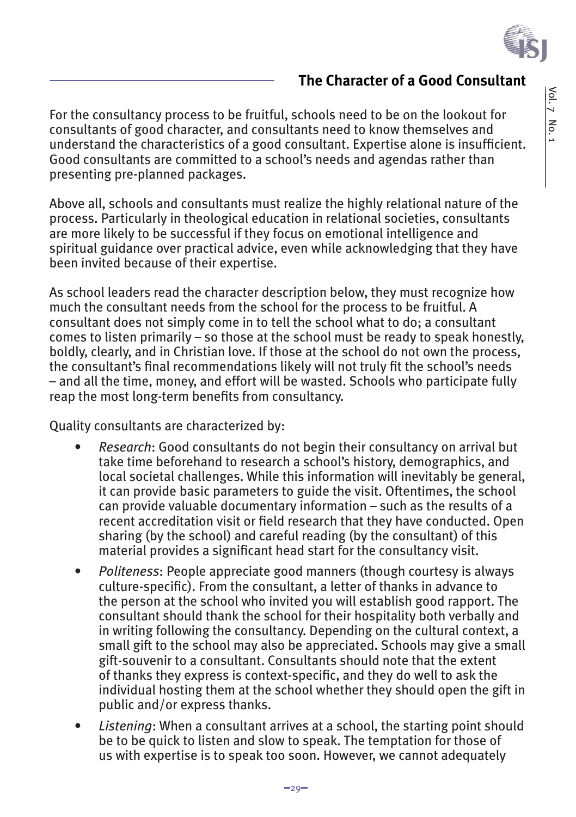

## **The Character of a Good Consultant**

For the consultancy process to be fruitful, schools need to be on the lookout for consultants of good character, and consultants need to know themselves and understand the characteristics of a good consultant. Expertise alone is insufficient. Good consultants are committed to a school's needs and agendas rather than presenting pre-planned packages.

Above all, schools and consultants must realize the highly relational nature of the process. Particularly in theological education in relational societies, consultants are more likely to be successful if they focus on emotional intelligence and spiritual guidance over practical advice, even while acknowledging that they have been invited because of their expertise.

As school leaders read the character description below, they must recognize how much the consultant needs from the school for the process to be fruitful. A consultant does not simply come in to tell the school what to do; a consultant comes to listen primarily – so those at the school must be ready to speak honestly, boldly, clearly, and in Christian love. If those at the school do not own the process, the consultant's final recommendations likely will not truly fit the school's needs – and all the time, money, and effort will be wasted. Schools who participate fully reap the most long-term benefits from consultancy.

Quality consultants are characterized by:

- *• Research*: Good consultants do not begin their consultancy on arrival but take time beforehand to research a school's history, demographics, and local societal challenges. While this information will inevitably be general, it can provide basic parameters to guide the visit. Oftentimes, the school can provide valuable documentary information – such as the results of a recent accreditation visit or field research that they have conducted. Open sharing (by the school) and careful reading (by the consultant) of this material provides a significant head start for the consultancy visit.
- *• Politeness*: People appreciate good manners (though courtesy is always culture-specific). From the consultant, a letter of thanks in advance to the person at the school who invited you will establish good rapport. The consultant should thank the school for their hospitality both verbally and in writing following the consultancy. Depending on the cultural context, a small gift to the school may also be appreciated. Schools may give a small gift-souvenir to a consultant. Consultants should note that the extent of thanks they express is context-specific, and they do well to ask the individual hosting them at the school whether they should open the gift in public and/or express thanks.
- *• Listening*: When a consultant arrives at a school, the starting point should be to be quick to listen and slow to speak. The temptation for those of us with expertise is to speak too soon. However, we cannot adequately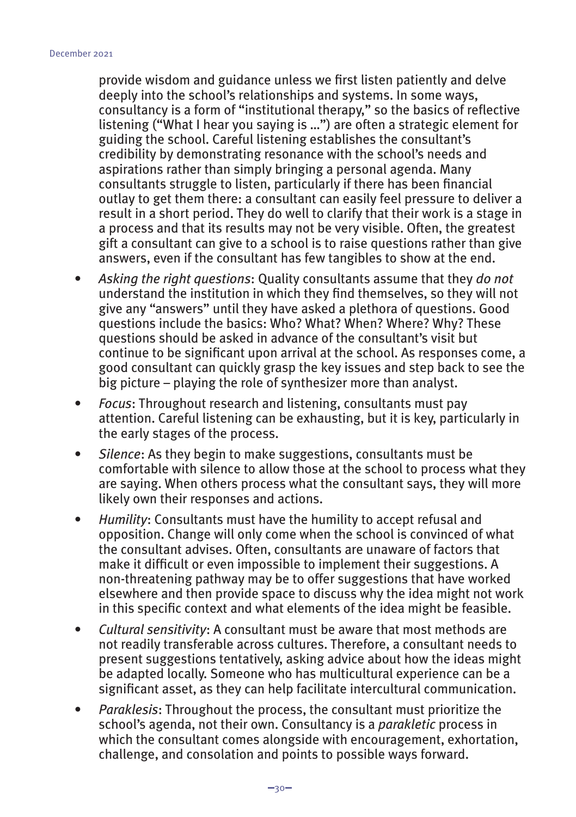provide wisdom and guidance unless we first listen patiently and delve deeply into the school's relationships and systems. In some ways, consultancy is a form of "institutional therapy," so the basics of reflective listening ("What I hear you saying is ...") are often a strategic element for guiding the school. Careful listening establishes the consultant's credibility by demonstrating resonance with the school's needs and aspirations rather than simply bringing a personal agenda. Many consultants struggle to listen, particularly if there has been financial outlay to get them there: a consultant can easily feel pressure to deliver a result in a short period. They do well to clarify that their work is a stage in a process and that its results may not be very visible. Often, the greatest gift a consultant can give to a school is to raise questions rather than give answers, even if the consultant has few tangibles to show at the end.

- *• Asking the right questions*: Quality consultants assume that they *do not* understand the institution in which they find themselves, so they will not give any "answers" until they have asked a plethora of questions. Good questions include the basics: Who? What? When? Where? Why? These questions should be asked in advance of the consultant's visit but continue to be significant upon arrival at the school. As responses come, a good consultant can quickly grasp the key issues and step back to see the big picture – playing the role of synthesizer more than analyst.
- *• Focus*: Throughout research and listening, consultants must pay attention. Careful listening can be exhausting, but it is key, particularly in the early stages of the process.
- *• Silence*: As they begin to make suggestions, consultants must be comfortable with silence to allow those at the school to process what they are saying. When others process what the consultant says, they will more likely own their responses and actions.
- *• Humility*: Consultants must have the humility to accept refusal and opposition. Change will only come when the school is convinced of what the consultant advises. Often, consultants are unaware of factors that make it difficult or even impossible to implement their suggestions. A non-threatening pathway may be to offer suggestions that have worked elsewhere and then provide space to discuss why the idea might not work in this specific context and what elements of the idea might be feasible.
- *• Cultural sensitivity*: A consultant must be aware that most methods are not readily transferable across cultures. Therefore, a consultant needs to present suggestions tentatively, asking advice about how the ideas might be adapted locally. Someone who has multicultural experience can be a significant asset, as they can help facilitate intercultural communication.
- *• Paraklesis*: Throughout the process, the consultant must prioritize the school's agenda, not their own. Consultancy is a *parakletic* process in which the consultant comes alongside with encouragement, exhortation, challenge, and consolation and points to possible ways forward.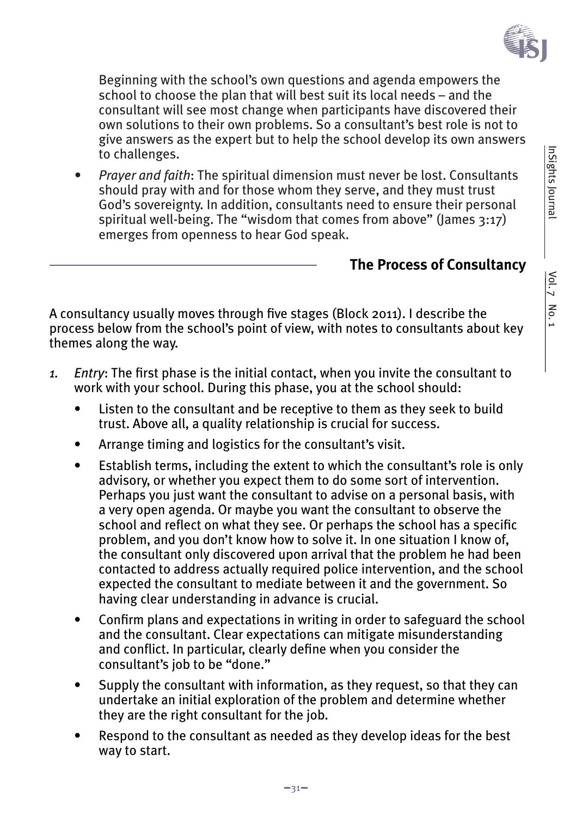

Beginning with the school's own questions and agenda empowers the school to choose the plan that will best suit its local needs – and the consultant will see most change when participants have discovered their own solutions to their own problems. So a consultant's best role is not to give answers as the expert but to help the school develop its own answers to challenges.

*• Prayer and faith*: The spiritual dimension must never be lost. Consultants should pray with and for those whom they serve, and they must trust God's sovereignty. In addition, consultants need to ensure their personal spiritual well-being. The "wisdom that comes from above" (James 3:17) emerges from openness to hear God speak.

#### **The Process of Consultancy**

A consultancy usually moves through five stages (Block 2011). I describe the process below from the school's point of view, with notes to consultants about key themes along the way.

- *1. Entry*: The first phase is the initial contact, when you invite the consultant to work with your school. During this phase, you at the school should:
	- Listen to the consultant and be receptive to them as they seek to build trust. Above all, a quality relationship is crucial for success.
	- Arrange timing and logistics for the consultant's visit.
	- Establish terms, including the extent to which the consultant's role is only advisory, or whether you expect them to do some sort of intervention. Perhaps you just want the consultant to advise on a personal basis, with a very open agenda. Or maybe you want the consultant to observe the school and reflect on what they see. Or perhaps the school has a specific problem, and you don't know how to solve it. In one situation I know of, the consultant only discovered upon arrival that the problem he had been contacted to address actually required police intervention, and the school expected the consultant to mediate between it and the government. So having clear understanding in advance is crucial.
	- Confirm plans and expectations in writing in order to safeguard the school and the consultant. Clear expectations can mitigate misunderstanding and conflict. In particular, clearly define when you consider the consultant's job to be "done."
	- Supply the consultant with information, as they request, so that they can undertake an initial exploration of the problem and determine whether they are the right consultant for the job.
	- Respond to the consultant as needed as they develop ideas for the best way to start.

InSights Journal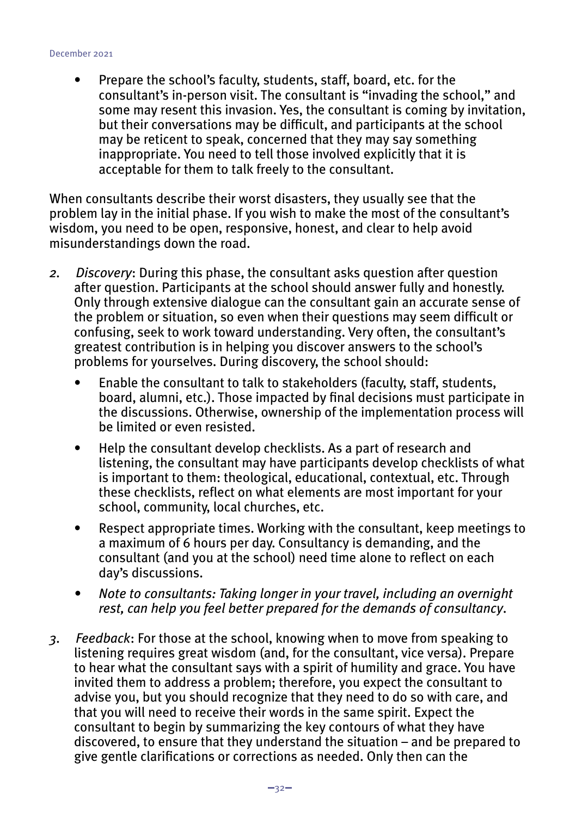#### December 2021

• Prepare the school's faculty, students, staff, board, etc. for the consultant's in-person visit. The consultant is "invading the school," and some may resent this invasion. Yes, the consultant is coming by invitation, but their conversations may be difficult, and participants at the school may be reticent to speak, concerned that they may say something inappropriate. You need to tell those involved explicitly that it is acceptable for them to talk freely to the consultant.

When consultants describe their worst disasters, they usually see that the problem lay in the initial phase. If you wish to make the most of the consultant's wisdom, you need to be open, responsive, honest, and clear to help avoid misunderstandings down the road.

- *2. Discovery*: During this phase, the consultant asks question after question after question. Participants at the school should answer fully and honestly. Only through extensive dialogue can the consultant gain an accurate sense of the problem or situation, so even when their questions may seem difficult or confusing, seek to work toward understanding. Very often, the consultant's greatest contribution is in helping you discover answers to the school's problems for yourselves. During discovery, the school should:
	- Enable the consultant to talk to stakeholders (faculty, staff, students, board, alumni, etc.). Those impacted by final decisions must participate in the discussions. Otherwise, ownership of the implementation process will be limited or even resisted.
	- Help the consultant develop checklists. As a part of research and listening, the consultant may have participants develop checklists of what is important to them: theological, educational, contextual, etc. Through these checklists, reflect on what elements are most important for your school, community, local churches, etc.
	- Respect appropriate times. Working with the consultant, keep meetings to a maximum of 6 hours per day. Consultancy is demanding, and the consultant (and you at the school) need time alone to reflect on each day's discussions.
	- *• Note to consultants: Taking longer in your travel, including an overnight rest, can help you feel better prepared for the demands of consultancy*.
- *3. Feedback*: For those at the school, knowing when to move from speaking to listening requires great wisdom (and, for the consultant, vice versa). Prepare to hear what the consultant says with a spirit of humility and grace. You have invited them to address a problem; therefore, you expect the consultant to advise you, but you should recognize that they need to do so with care, and that you will need to receive their words in the same spirit. Expect the consultant to begin by summarizing the key contours of what they have discovered, to ensure that they understand the situation – and be prepared to give gentle clarifications or corrections as needed. Only then can the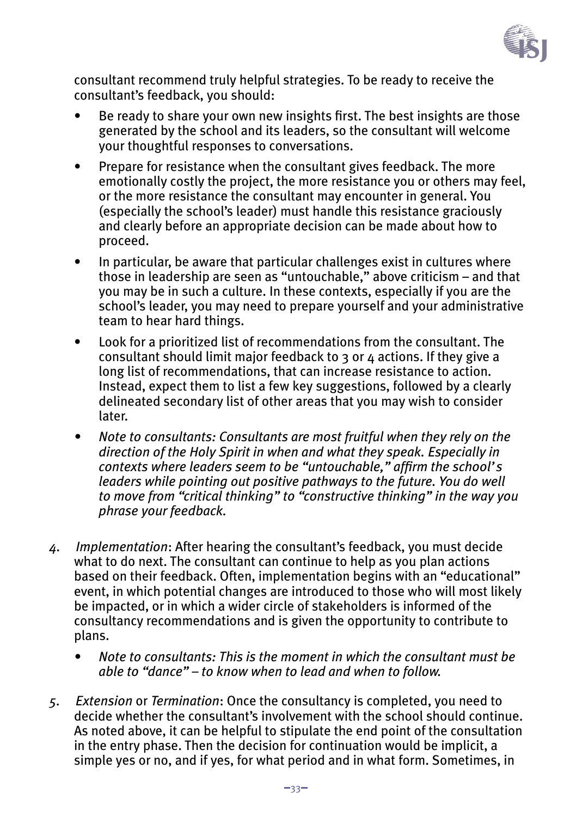

consultant recommend truly helpful strategies. To be ready to receive the consultant's feedback, you should:

- Be ready to share your own new insights first. The best insights are those generated by the school and its leaders, so the consultant will welcome your thoughtful responses to conversations.
- Prepare for resistance when the consultant gives feedback. The more emotionally costly the project, the more resistance you or others may feel, or the more resistance the consultant may encounter in general. You (especially the school's leader) must handle this resistance graciously and clearly before an appropriate decision can be made about how to proceed.
- In particular, be aware that particular challenges exist in cultures where those in leadership are seen as "untouchable," above criticism – and that you may be in such a culture. In these contexts, especially if you are the school's leader, you may need to prepare yourself and your administrative team to hear hard things.
- Look for a prioritized list of recommendations from the consultant. The consultant should limit major feedback to 3 or 4 actions. If they give a long list of recommendations, that can increase resistance to action. Instead, expect them to list a few key suggestions, followed by a clearly delineated secondary list of other areas that you may wish to consider later.
- *• Note to consultants: Consultants are most fruitful when they rely on the direction of the Holy Spirit in when and what they speak. Especially in contexts where leaders seem to be "untouchable," affirm the school's leaders while pointing out positive pathways to the future. You do well to move from "critical thinking" to "constructive thinking" in the way you phrase your feedback.*
- *4. Implementation*: After hearing the consultant's feedback, you must decide what to do next. The consultant can continue to help as you plan actions based on their feedback. Often, implementation begins with an "educational" event, in which potential changes are introduced to those who will most likely be impacted, or in which a wider circle of stakeholders is informed of the consultancy recommendations and is given the opportunity to contribute to plans.
	- *• Note to consultants: This is the moment in which the consultant must be able to "dance" – to know when to lead and when to follow.*
- *5. Extension* or *Termination*: Once the consultancy is completed, you need to decide whether the consultant's involvement with the school should continue. As noted above, it can be helpful to stipulate the end point of the consultation in the entry phase. Then the decision for continuation would be implicit, a simple yes or no, and if yes, for what period and in what form. Sometimes, in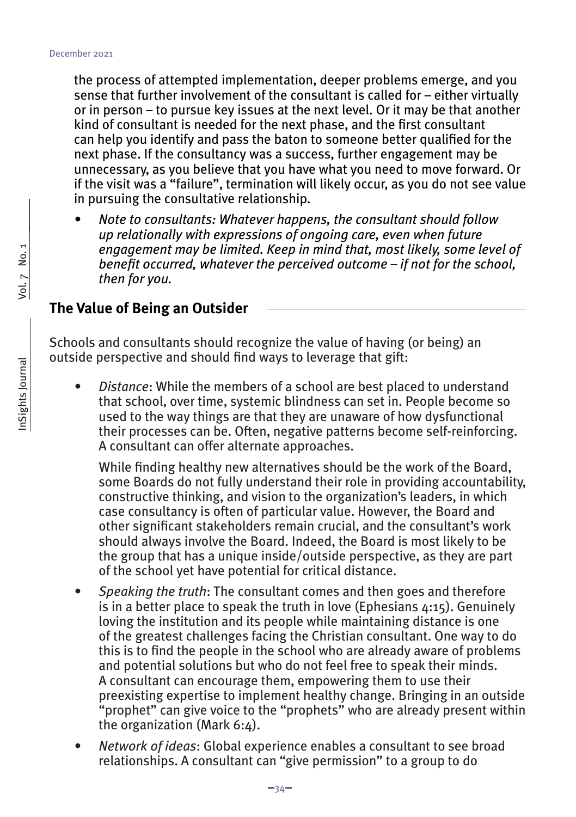the process of attempted implementation, deeper problems emerge, and you sense that further involvement of the consultant is called for – either virtually or in person – to pursue key issues at the next level. Or it may be that another kind of consultant is needed for the next phase, and the first consultant can help you identify and pass the baton to someone better qualified for the next phase. If the consultancy was a success, further engagement may be unnecessary, as you believe that you have what you need to move forward. Or if the visit was a "failure", termination will likely occur, as you do not see value in pursuing the consultative relationship.

*• Note to consultants: Whatever happens, the consultant should follow up relationally with expressions of ongoing care, even when future engagement may be limited. Keep in mind that, most likely, some level of benefit occurred, whatever the perceived outcome – if not for the school, then for you.*

#### **The Value of Being an Outsider**

Schools and consultants should recognize the value of having (or being) an outside perspective and should find ways to leverage that gift:

*• Distance*: While the members of a school are best placed to understand that school, over time, systemic blindness can set in. People become so used to the way things are that they are unaware of how dysfunctional their processes can be. Often, negative patterns become self-reinforcing. A consultant can offer alternate approaches.

While finding healthy new alternatives should be the work of the Board, some Boards do not fully understand their role in providing accountability, constructive thinking, and vision to the organization's leaders, in which case consultancy is often of particular value. However, the Board and other significant stakeholders remain crucial, and the consultant's work should always involve the Board. Indeed, the Board is most likely to be the group that has a unique inside/outside perspective, as they are part of the school yet have potential for critical distance.

- *• Speaking the truth*: The consultant comes and then goes and therefore is in a better place to speak the truth in love (Ephesians  $4:15$ ). Genuinely loving the institution and its people while maintaining distance is one of the greatest challenges facing the Christian consultant. One way to do this is to find the people in the school who are already aware of problems and potential solutions but who do not feel free to speak their minds. A consultant can encourage them, empowering them to use their preexisting expertise to implement healthy change. Bringing in an outside "prophet" can give voice to the "prophets" who are already present within the organization (Mark 6:4).
- *• Network of ideas*: Global experience enables a consultant to see broad relationships. A consultant can "give permission" to a group to do